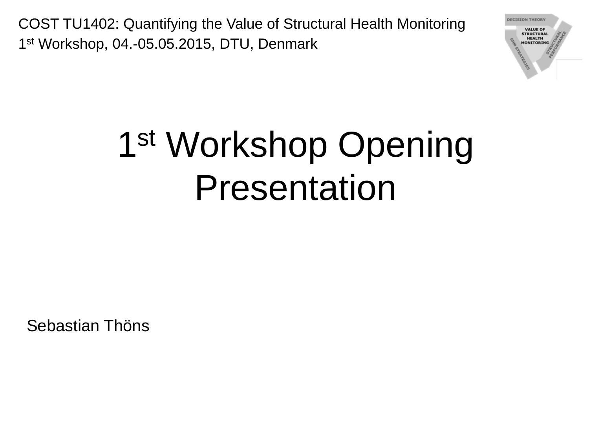

# 1<sup>st</sup> Workshop Opening Presentation

Sebastian Thöns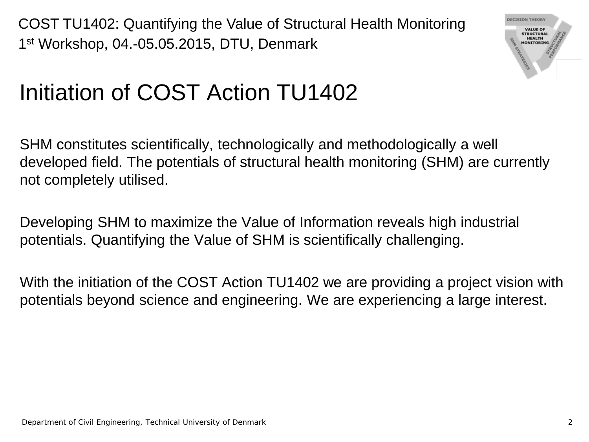

#### Initiation of COST Action TU1402

SHM constitutes scientifically, technologically and methodologically a well developed field. The potentials of structural health monitoring (SHM) are currently not completely utilised.

Developing SHM to maximize the Value of Information reveals high industrial potentials. Quantifying the Value of SHM is scientifically challenging.

With the initiation of the COST Action TU1402 we are providing a project vision with potentials beyond science and engineering. We are experiencing a large interest.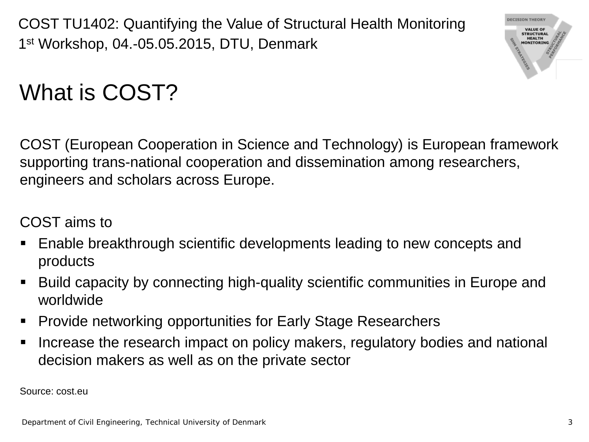

#### What is COST?

COST (European Cooperation in Science and Technology) is European framework supporting trans-national cooperation and dissemination among researchers, engineers and scholars across Europe.

#### COST aims to

- Enable breakthrough scientific developments leading to new concepts and products
- Build capacity by connecting high-quality scientific communities in Europe and worldwide
- **Provide networking opportunities for Early Stage Researchers**
- I Increase the research impact on policy makers, regulatory bodies and national decision makers as well as on the private sector

Source: cost.eu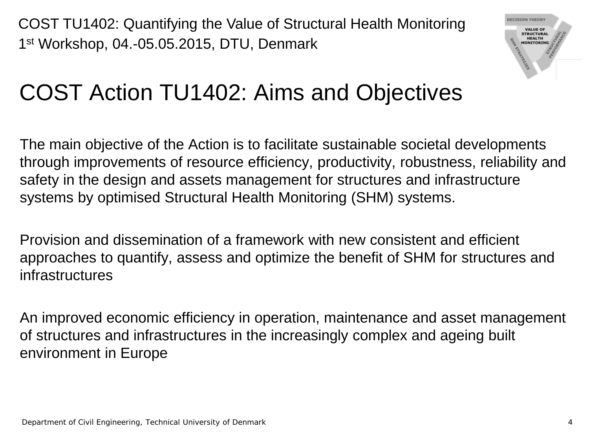

#### COST Action TU1402: Aims and Objectives

The main objective of the Action is to facilitate sustainable societal developments through improvements of resource efficiency, productivity, robustness, reliability and safety in the design and assets management for structures and infrastructure systems by optimised Structural Health Monitoring (SHM) systems.

Provision and dissemination of a framework with new consistent and efficient approaches to quantify, assess and optimize the benefit of SHM for structures and infrastructures

An improved economic efficiency in operation, maintenance and asset management of structures and infrastructures in the increasingly complex and ageing built environment in Europe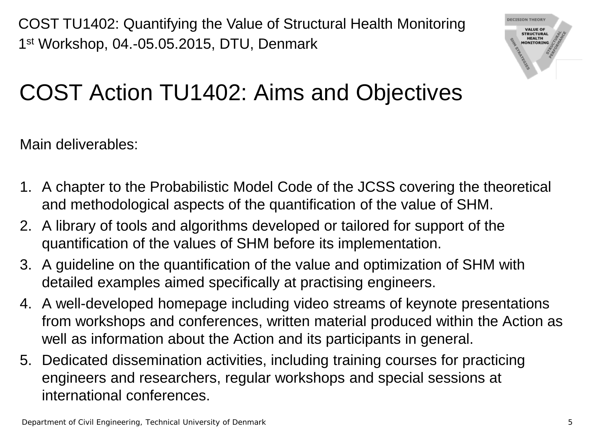

### COST Action TU1402: Aims and Objectives

Main deliverables:

- 1. A chapter to the Probabilistic Model Code of the JCSS covering the theoretical and methodological aspects of the quantification of the value of SHM.
- 2. A library of tools and algorithms developed or tailored for support of the quantification of the values of SHM before its implementation.
- 3. A guideline on the quantification of the value and optimization of SHM with detailed examples aimed specifically at practising engineers.
- 4. A well-developed homepage including video streams of keynote presentations from workshops and conferences, written material produced within the Action as well as information about the Action and its participants in general.
- 5. Dedicated dissemination activities, including training courses for practicing engineers and researchers, regular workshops and special sessions at international conferences.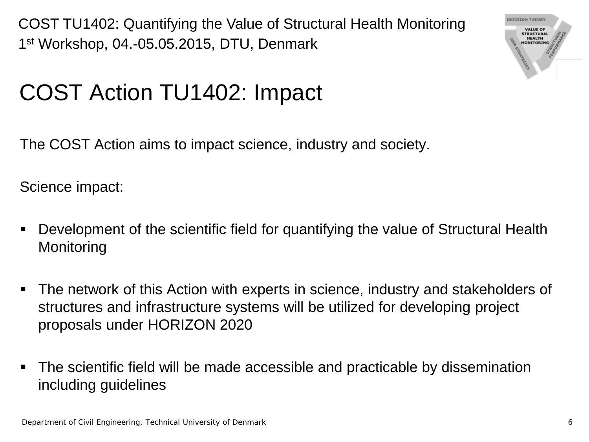

#### COST Action TU1402: Impact

The COST Action aims to impact science, industry and society.

Science impact:

- Development of the scientific field for quantifying the value of Structural Health **Monitoring**
- The network of this Action with experts in science, industry and stakeholders of structures and infrastructure systems will be utilized for developing project proposals under HORIZON 2020
- The scientific field will be made accessible and practicable by dissemination including guidelines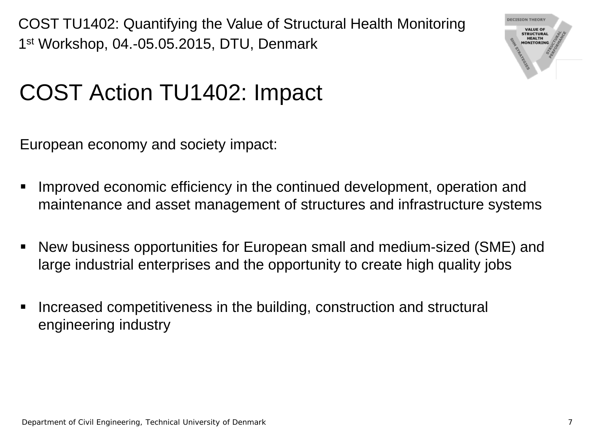

#### COST Action TU1402: Impact

European economy and society impact:

- Improved economic efficiency in the continued development, operation and maintenance and asset management of structures and infrastructure systems
- New business opportunities for European small and medium-sized (SME) and large industrial enterprises and the opportunity to create high quality jobs
- I Increased competitiveness in the building, construction and structural engineering industry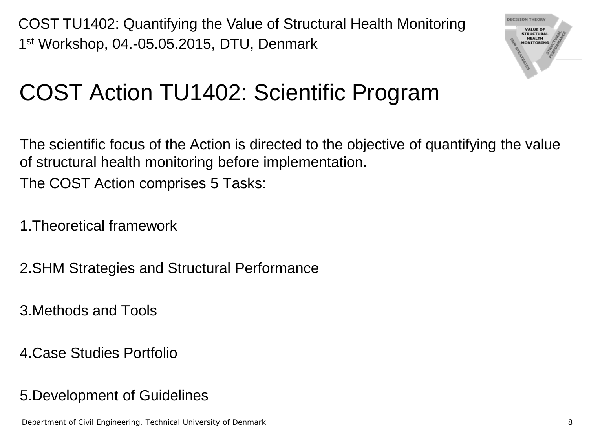

### COST Action TU1402: Scientific Program

The scientific focus of the Action is directed to the objective of quantifying the value of structural health monitoring before implementation. The COST Action comprises 5 Tasks:

1.Theoretical framework

2.SHM Strategies and Structural Performance

3.Methods and Tools

4.Case Studies Portfolio

5.Development of Guidelines

Department of Civil Engineering, Technical University of Denmark 8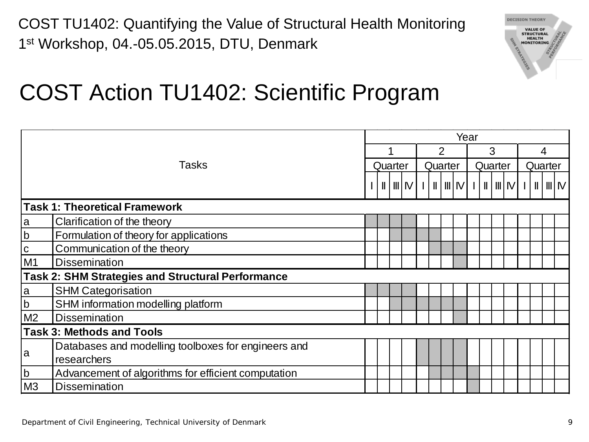

#### COST Action TU1402: Scientific Program

|                                  |                                                          |  | Year    |  |                |  |         |  |   |  |         |  |   |  |         |  |  |  |
|----------------------------------|----------------------------------------------------------|--|---------|--|----------------|--|---------|--|---|--|---------|--|---|--|---------|--|--|--|
|                                  |                                                          |  |         |  | $\overline{2}$ |  |         |  | 3 |  |         |  | 4 |  |         |  |  |  |
|                                  | <b>Tasks</b>                                             |  | Quarter |  |                |  | Quarter |  |   |  | Quarter |  |   |  | Quarter |  |  |  |
|                                  |                                                          |  |         |  |                |  |         |  |   |  |         |  |   |  |         |  |  |  |
|                                  | <b>Task 1: Theoretical Framework</b>                     |  |         |  |                |  |         |  |   |  |         |  |   |  |         |  |  |  |
| a                                | Clarification of the theory                              |  |         |  |                |  |         |  |   |  |         |  |   |  |         |  |  |  |
| $\mathsf b$                      | Formulation of theory for applications                   |  |         |  |                |  |         |  |   |  |         |  |   |  |         |  |  |  |
| $\overline{c}$                   | Communication of the theory                              |  |         |  |                |  |         |  |   |  |         |  |   |  |         |  |  |  |
| M <sub>1</sub>                   | <b>Dissemination</b>                                     |  |         |  |                |  |         |  |   |  |         |  |   |  |         |  |  |  |
|                                  | <b>Task 2: SHM Strategies and Structural Performance</b> |  |         |  |                |  |         |  |   |  |         |  |   |  |         |  |  |  |
| <b>a</b>                         | <b>SHM Categorisation</b>                                |  |         |  |                |  |         |  |   |  |         |  |   |  |         |  |  |  |
| $\mathsf b$                      | SHM information modelling platform                       |  |         |  |                |  |         |  |   |  |         |  |   |  |         |  |  |  |
| M <sub>2</sub>                   | <b>Dissemination</b>                                     |  |         |  |                |  |         |  |   |  |         |  |   |  |         |  |  |  |
| <b>Task 3: Methods and Tools</b> |                                                          |  |         |  |                |  |         |  |   |  |         |  |   |  |         |  |  |  |
| a                                | Databases and modelling toolboxes for engineers and      |  |         |  |                |  |         |  |   |  |         |  |   |  |         |  |  |  |
|                                  | researchers                                              |  |         |  |                |  |         |  |   |  |         |  |   |  |         |  |  |  |
| $\mathsf b$                      | Advancement of algorithms for efficient computation      |  |         |  |                |  |         |  |   |  |         |  |   |  |         |  |  |  |
| M3                               | <b>Dissemination</b>                                     |  |         |  |                |  |         |  |   |  |         |  |   |  |         |  |  |  |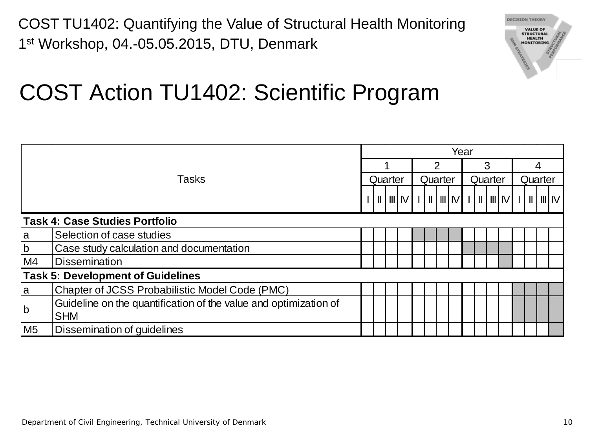

#### COST Action TU1402: Scientific Program

|                                          |                                                                  | Year |  |  |         |  |   |  |         |   |  |  |         |  |  |  |         |
|------------------------------------------|------------------------------------------------------------------|------|--|--|---------|--|---|--|---------|---|--|--|---------|--|--|--|---------|
|                                          |                                                                  |      |  |  |         |  | 2 |  |         | 3 |  |  |         |  |  |  |         |
|                                          | Tasks                                                            |      |  |  | Quarter |  |   |  | Quarter |   |  |  | Quarter |  |  |  | Quarter |
|                                          |                                                                  |      |  |  |         |  |   |  |         |   |  |  |         |  |  |  |         |
|                                          | Task 4: Case Studies Portfolio                                   |      |  |  |         |  |   |  |         |   |  |  |         |  |  |  |         |
| la                                       | Selection of case studies                                        |      |  |  |         |  |   |  |         |   |  |  |         |  |  |  |         |
| $\mathsf b$                              | Case study calculation and documentation                         |      |  |  |         |  |   |  |         |   |  |  |         |  |  |  |         |
| M4<br><b>Dissemination</b>               |                                                                  |      |  |  |         |  |   |  |         |   |  |  |         |  |  |  |         |
| <b>Task 5: Development of Guidelines</b> |                                                                  |      |  |  |         |  |   |  |         |   |  |  |         |  |  |  |         |
| la                                       | Chapter of JCSS Probabilistic Model Code (PMC)                   |      |  |  |         |  |   |  |         |   |  |  |         |  |  |  |         |
| $\mathsf{b}$                             | Guideline on the quantification of the value and optimization of |      |  |  |         |  |   |  |         |   |  |  |         |  |  |  |         |
|                                          | <b>SHM</b>                                                       |      |  |  |         |  |   |  |         |   |  |  |         |  |  |  |         |
| M <sub>5</sub>                           | Dissemination of guidelines                                      |      |  |  |         |  |   |  |         |   |  |  |         |  |  |  |         |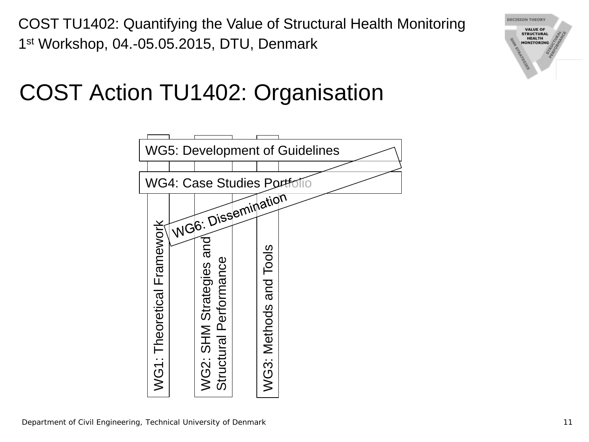#### COST Action TU1402: Organisation



**DECISION THEORY VALUE OF STRUCTURAL HEALTH**<br>MONITORING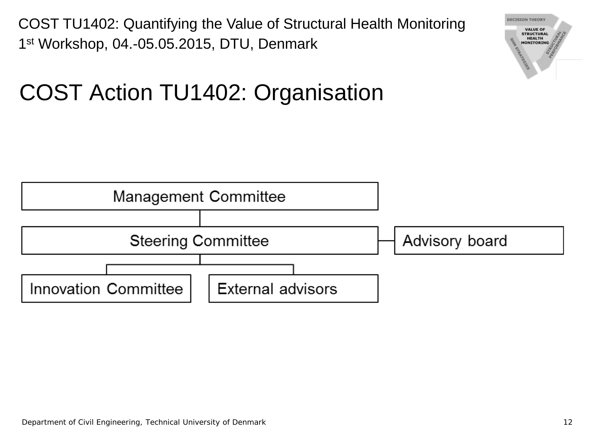Department of Civil Engineering, Technical University of Denmark 12

COST TU1402: Quantifying the Value of Structural Health Monitoring 1<sup>st</sup> Workshop, 04.-05.05.2015, DTU, Denmark

#### COST Action TU1402: Organisation





**DECISION THEORY VALUE OF STRUCTURAL HEALTH**<br>MONITORING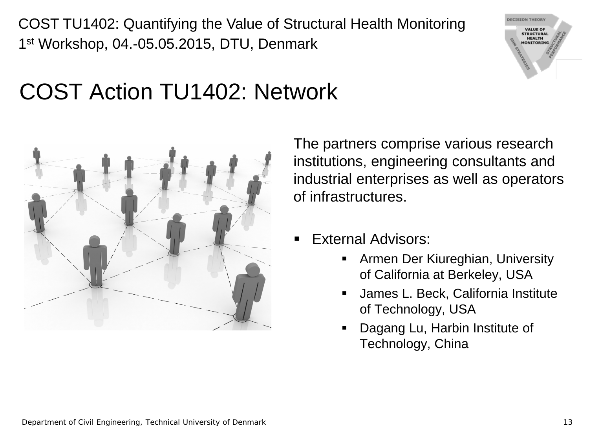

#### COST Action TU1402: Network



The partners comprise various research institutions, engineering consultants and industrial enterprises as well as operators of infrastructures.

- External Advisors:
	- **F** Armen Der Kiureghian, University of California at Berkeley, USA
	- James L. Beck, California Institute of Technology, USA
	- **Dagang Lu, Harbin Institute of** Technology, China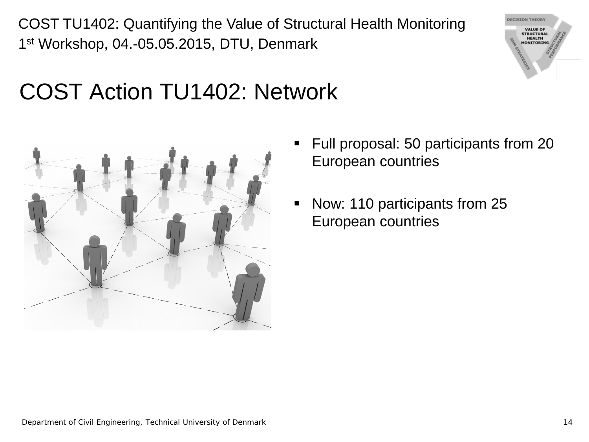



- Full proposal: 50 participants from 20 European countries
- Now: 110 participants from 25 European countries

**DECISION THEORY VALUE OF STRUCTURAL** HEALTH<br>MONITORING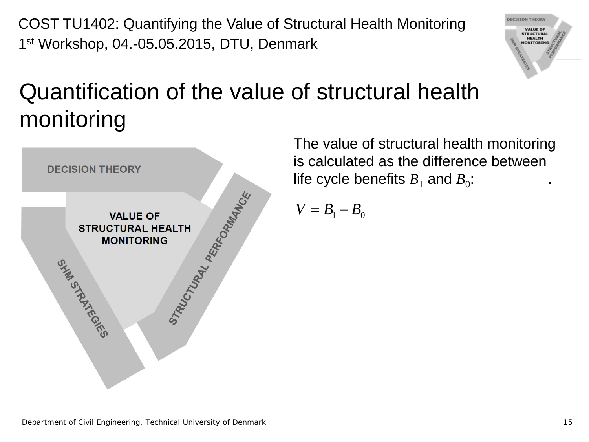

#### Quantification of the value of structural health monitoring



The value of structural health monitoring is calculated as the difference between life cycle benefits  $B_1$  and  $B_0$ :

$$
V=B_1-B_0
$$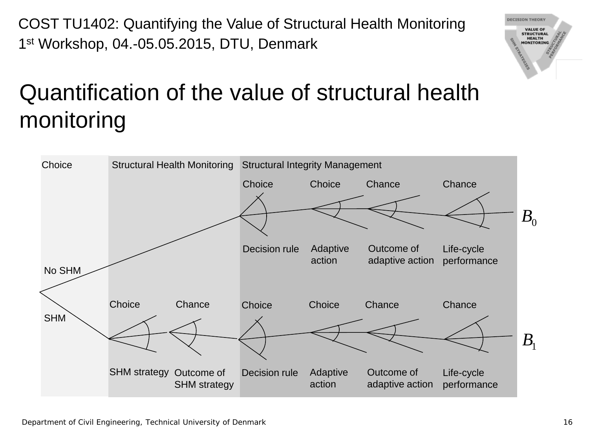Department of Civil Engineering, Technical University of Denmark 16

COST TU1402: Quantifying the Value of Structural Health Monitoring 1st Workshop, 04.-05.05.2015, DTU, Denmark

### Quantification of the value of structural health monitoring



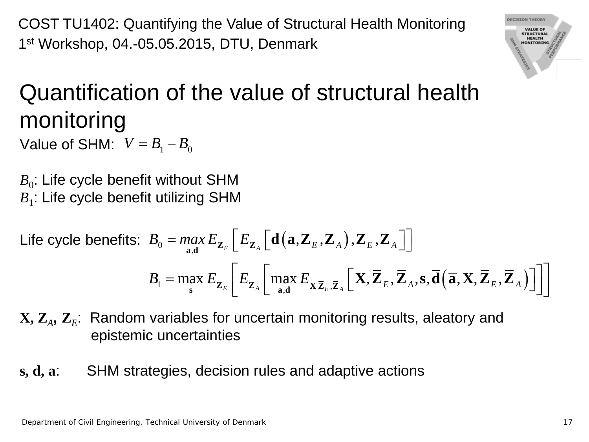Department of Civil Engineering, Technical University of Denmark 17

COST TU1402: Quantifying the Value of Structural Health Monitoring 1st Workshop, 04.-05.05.2015, DTU, Denmark

#### Quantification of the value of structural health monitoring Value of SHM:  $V = B_1 - B_0$

 $B_0$ : Life cycle benefit without SHM *B*<sub>1</sub>: Life cycle benefit utilizing SHM

 $\textsf{Life cycle benefits: } B_0 = \max_{\mathbf{a}, \mathbf{d}} E_{\mathbf{Z}_E}\Big[ E_{\mathbf{Z}_A}\Big[ \mathbf{d}\big(\mathbf{a}, \mathbf{Z}_E, \mathbf{Z}_A\big), \mathbf{Z}_E, \mathbf{Z}_A \Big]\Big]$  $B_{\rm 1} = \max_{\mathbf{s}}\,E_{\mathbf{\bar{Z}}_E}\left|\,E_{\mathbf{\bar{Z}}_{A}}\,\right|\,\max_{\mathbf{a},\mathbf{d}}E_{\mathbf{X}|\mathbf{\bar{Z}}_E,\mathbf{\bar{Z}}_A}\left[\,\mathbf{X},\mathbf{Z}_E,\mathbf{Z}_A,\mathbf{s},\mathbf{d}\left(\mathbf{\overline{a}},\mathbf{X},\mathbf{Z}_E,\mathbf{Z}_A\,\right)\right]$  $=\max_{\mathbf{s}} E_{\mathbf{\bar{Z}}_E}\bigg\lfloor E_{\mathbf{\bar{Z}}_A}\bigg[\max_{\mathbf{a},\mathbf{d}} E_{\mathbf{X}|\mathbf{\bar{Z}}_E,\mathbf{\bar{Z}}_A}\bigg[\mathbf{X},\mathbf{\bar{Z}}_E,\mathbf{\bar{Z}}_A,\mathbf{s},\mathbf{\bar{d}}\big(\mathbf{\bar{a}},\mathbf{X},\mathbf{\bar{Z}}_E,\mathbf{\bar{Z}}_A\big)\bigg]\bigg]\bigg]$  $\mathbf{X}, \mathbf{Z}_{_E}, \mathbf{Z}_{_A}, \mathbf{s}, \mathbf{d}\big(\, \overline{\mathbf{a}}, \mathbf{X}, \mathbf{Z}_{_E}, \mathbf{Z}_{_E}$ 

#### **X**,  $\mathbf{Z}_A$ ,  $\mathbf{Z}_E$ : Random variables for uncertain monitoring results, aleatory and epistemic uncertainties

**s, d, a**: SHM strategies, decision rules and adaptive actions

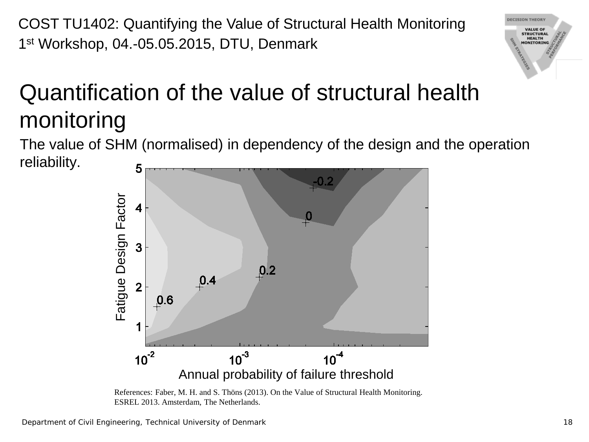## Quantification of the value of structural health monitoring

The value of SHM (normalised) in dependency of the design and the operation reliability. 5



References: Faber, M. H. and S. Thöns (2013). On the Value of Structural Health Monitoring. ESREL 2013. Amsterdam, The Netherlands.

**ECISION THEORY VALUE OF STRUCTURAL HEALTH MONITORING**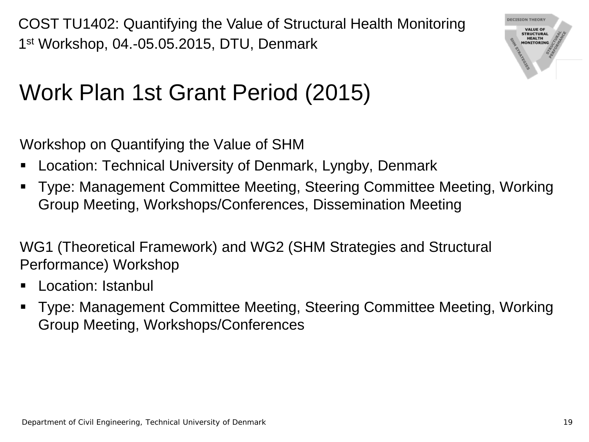

#### Work Plan 1st Grant Period (2015)

Workshop on Quantifying the Value of SHM

- Location: Technical University of Denmark, Lyngby, Denmark
- Type: Management Committee Meeting, Steering Committee Meeting, Working Group Meeting, Workshops/Conferences, Dissemination Meeting

WG1 (Theoretical Framework) and WG2 (SHM Strategies and Structural Performance) Workshop

- **Location: Istanbul**
- Type: Management Committee Meeting, Steering Committee Meeting, Working Group Meeting, Workshops/Conferences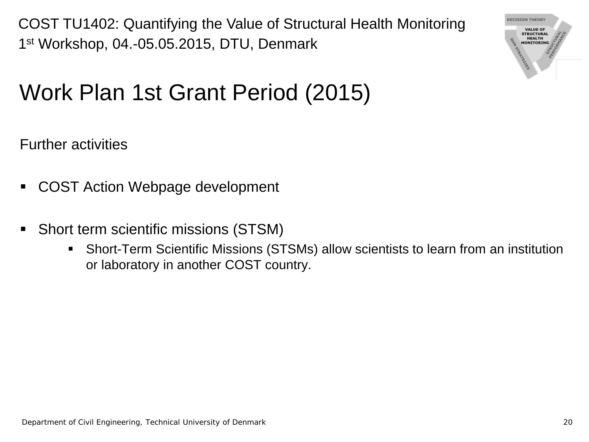

### Work Plan 1st Grant Period (2015)

Further activities

- COST Action Webpage development
- Short term scientific missions (STSM)
	- Short-Term Scientific Missions (STSMs) allow scientists to learn from an institution or laboratory in another COST country.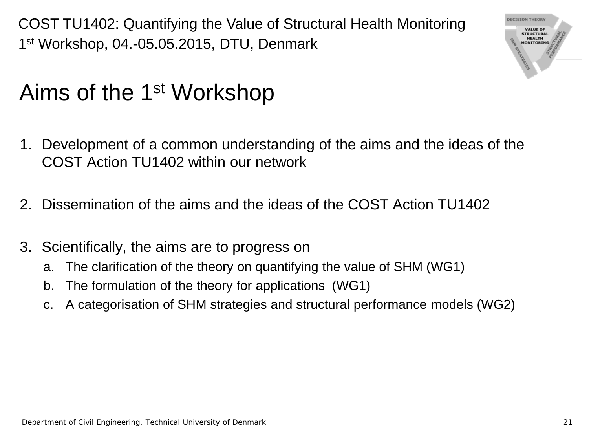

#### Aims of the 1st Workshop

- 1. Development of a common understanding of the aims and the ideas of the COST Action TU1402 within our network
- 2. Dissemination of the aims and the ideas of the COST Action TU1402
- 3. Scientifically, the aims are to progress on
	- a. The clarification of the theory on quantifying the value of SHM (WG1)
	- b. The formulation of the theory for applications (WG1)
	- c. A categorisation of SHM strategies and structural performance models (WG2)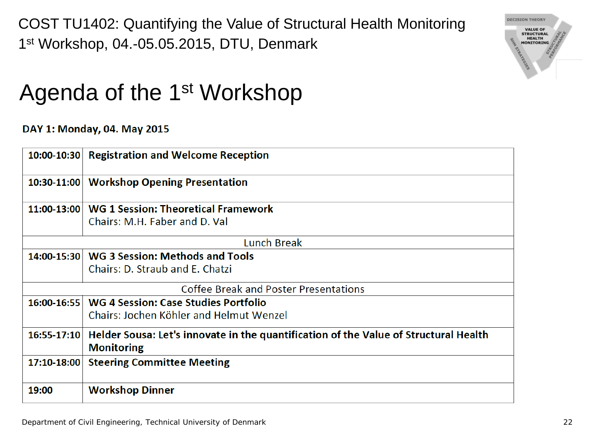

#### Agenda of the 1<sup>st</sup> Workshop

DAY 1: Monday, 04. May 2015

|               | 10:00-10:30 Registration and Welcome Reception                                                            |
|---------------|-----------------------------------------------------------------------------------------------------------|
| $10:30-11:00$ | <b>Workshop Opening Presentation</b>                                                                      |
|               | 11:00-13:00   WG 1 Session: Theoretical Framework                                                         |
|               | Chairs: M.H. Faber and D. Val                                                                             |
|               | Lunch Break                                                                                               |
|               | 14:00-15:30   WG 3 Session: Methods and Tools                                                             |
|               | Chairs: D. Straub and E. Chatzi                                                                           |
|               | Coffee Break and Poster Presentations                                                                     |
|               | 16:00-16:55   WG 4 Session: Case Studies Portfolio                                                        |
|               | Chairs: Jochen Köhler and Helmut Wenzel                                                                   |
| 16:55-17:10   | Helder Sousa: Let's innovate in the quantification of the Value of Structural Health<br><b>Monitoring</b> |
| 17:10-18:00   | <b>Steering Committee Meeting</b>                                                                         |
| 19:00         | <b>Workshop Dinner</b>                                                                                    |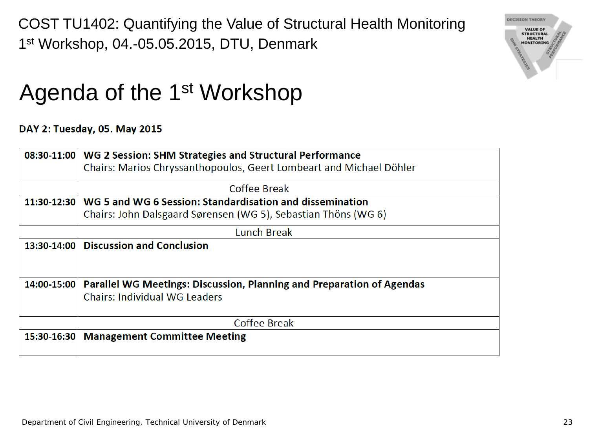

#### Agenda of the 1<sup>st</sup> Workshop

#### DAY 2: Tuesday, 05. May 2015

|             | 08:30-11:00   WG 2 Session: SHM Strategies and Structural Performance |  |  |  |  |  |  |  |
|-------------|-----------------------------------------------------------------------|--|--|--|--|--|--|--|
|             | Chairs: Marios Chryssanthopoulos, Geert Lombeart and Michael Döhler   |  |  |  |  |  |  |  |
|             |                                                                       |  |  |  |  |  |  |  |
|             | Coffee Break                                                          |  |  |  |  |  |  |  |
|             | 11:30-12:30 WG 5 and WG 6 Session: Standardisation and dissemination  |  |  |  |  |  |  |  |
|             | Chairs: John Dalsgaard Sørensen (WG 5), Sebastian Thöns (WG 6)        |  |  |  |  |  |  |  |
|             | <b>Lunch Break</b>                                                    |  |  |  |  |  |  |  |
| 13:30-14:00 | <b>Discussion and Conclusion</b>                                      |  |  |  |  |  |  |  |
|             |                                                                       |  |  |  |  |  |  |  |
|             |                                                                       |  |  |  |  |  |  |  |
| 14:00-15:00 | Parallel WG Meetings: Discussion, Planning and Preparation of Agendas |  |  |  |  |  |  |  |
|             | <b>Chairs: Individual WG Leaders</b>                                  |  |  |  |  |  |  |  |
|             | Coffee Break                                                          |  |  |  |  |  |  |  |
|             |                                                                       |  |  |  |  |  |  |  |
| 15:30-16:30 | <b>Management Committee Meeting</b>                                   |  |  |  |  |  |  |  |
|             |                                                                       |  |  |  |  |  |  |  |